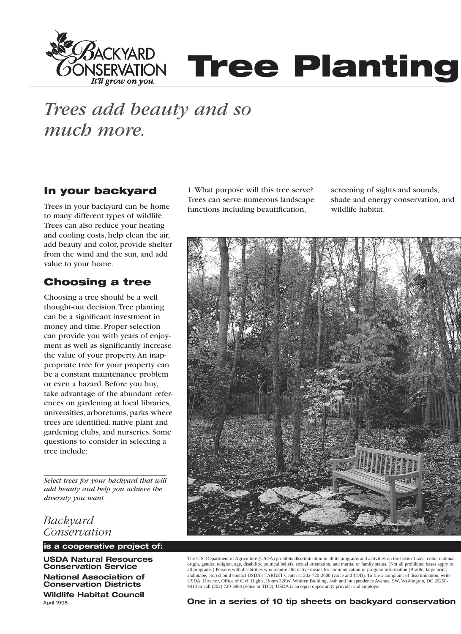

# **SERVATION Tree Planting**

## *Trees add beauty and so much more.*

## **In your backyard**

Trees in your backyard can be home to many different types of wildlife. Trees can also reduce your heating and cooling costs, help clean the air, add beauty and color, provide shelter from the wind and the sun, and add value to your home.

## **Choosing a tree**

Choosing a tree should be a well thought-out decision.Tree planting can be a significant investment in money and time. Proper selection can provide you with years of enjoyment as well as significantly increase the value of your property.An inappropriate tree for your property can be a constant maintenance problem or even a hazard. Before you buy, take advantage of the abundant references on gardening at local libraries, universities, arboretums, parks where trees are identified, native plant and gardening clubs, and nurseries. Some questions to consider in selecting a tree include:

*Select trees for your backyard that will add beauty and help you achieve the diversity you want.*

*Backyard Conservation*

**is a cooperative project of:**

**USDA Natural Resources Conservation Service**

**National Association of Conservation Districts Wildlife Habitat Council** April 1998

1.What purpose will this tree serve? Trees can serve numerous landscape functions including beautification,

screening of sights and sounds, shade and energy conservation, and wildlife habitat.



The U.S. Department of Agriculture (USDA) prohibits discrimination in all its programs and activities on the basis of race, color, national origin, gender, religion, age, disability, political beliefs, sexual orientation, and marital or family status. (Not all prohibited bases apply to all programs.) Persons with disabilities who require alternative means for communication of program information (Braille, large print,<br>audiotape, etc.) should contact USDA's TARGET Center at 202-720-2600 (voice and TDD). T USDA, Director, Office of Civil Rights, Room 326W, Whitten Building, 14th and Independence Avenue, SW, Washington, DC 20250- 9410 or call (202) 720-5964 (voice or TDD). USDA is an equal opportunity provider and employer.

**One in a series of 10 tip sheets on backyard conservation**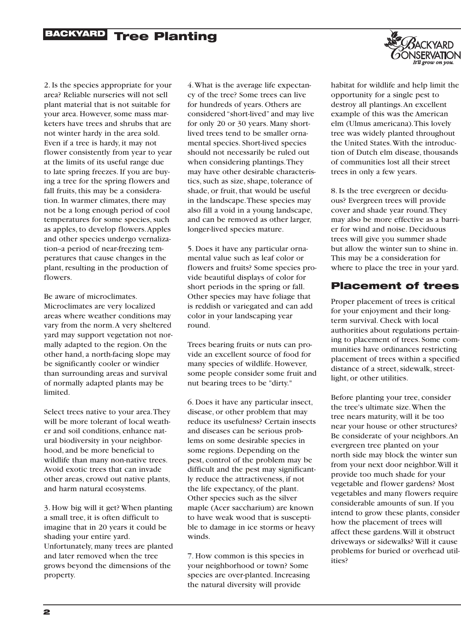## **BACKYARD Tree Planting**



2. Is the species appropriate for your area? Reliable nurseries will not sell plant material that is not suitable for your area. However, some mass marketers have trees and shrubs that are not winter hardy in the area sold. Even if a tree is hardy, it may not flower consistently from year to year at the limits of its useful range due to late spring freezes. If you are buying a tree for the spring flowers and fall fruits, this may be a consideration. In warmer climates, there may not be a long enough period of cool temperatures for some species, such as apples, to develop flowers.Apples and other species undergo vernalization--a period of near-freezing temperatures that cause changes in the plant, resulting in the production of flowers.

Be aware of microclimates. Microclimates are very localized areas where weather conditions may vary from the norm.A very sheltered yard may support vegetation not normally adapted to the region. On the other hand, a north-facing slope may be significantly cooler or windier than surrounding areas and survival of normally adapted plants may be limited.

Select trees native to your area.They will be more tolerant of local weather and soil conditions, enhance natural biodiversity in your neighborhood, and be more beneficial to wildlife than many non-native trees. Avoid exotic trees that can invade other areas, crowd out native plants, and harm natural ecosystems.

3. How big will it get? When planting a small tree, it is often difficult to imagine that in 20 years it could be shading your entire yard. Unfortunately, many trees are planted and later removed when the tree grows beyond the dimensions of the property.

4.What is the average life expectancy of the tree? Some trees can live for hundreds of years. Others are considered "short-lived" and may live for only 20 or 30 years. Many shortlived trees tend to be smaller ornamental species. Short-lived species should not necessarily be ruled out when considering plantings.They may have other desirable characteristics, such as size, shape, tolerance of shade, or fruit, that would be useful in the landscape.These species may also fill a void in a young landscape, and can be removed as other larger, longer-lived species mature.

5. Does it have any particular ornamental value such as leaf color or flowers and fruits? Some species provide beautiful displays of color for short periods in the spring or fall. Other species may have foliage that is reddish or variegated and can add color in your landscaping year round.

Trees bearing fruits or nuts can provide an excellent source of food for many species of wildlife. However, some people consider some fruit and nut bearing trees to be "dirty."

6. Does it have any particular insect, disease, or other problem that may reduce its usefulness? Certain insects and diseases can be serious problems on some desirable species in some regions. Depending on the pest, control of the problem may be difficult and the pest may significantly reduce the attractiveness, if not the life expectancy, of the plant. Other species such as the silver maple (Acer saccharium) are known to have weak wood that is susceptible to damage in ice storms or heavy winds.

7. How common is this species in your neighborhood or town? Some species are over-planted. Increasing the natural diversity will provide

habitat for wildlife and help limit the opportunity for a single pest to destroy all plantings.An excellent example of this was the American elm (Ulmus americana).This lovely tree was widely planted throughout the United States.With the introduction of Dutch elm disease, thousands of communities lost all their street trees in only a few years.

8. Is the tree evergreen or deciduous? Evergreen trees will provide cover and shade year round.They may also be more effective as a barrier for wind and noise. Deciduous trees will give you summer shade but allow the winter sun to shine in. This may be a consideration for where to place the tree in your yard.

### **Placement of trees**

Proper placement of trees is critical for your enjoyment and their longterm survival. Check with local authorities about regulations pertaining to placement of trees. Some communities have ordinances restricting placement of trees within a specified distance of a street, sidewalk, streetlight, or other utilities.

Before planting your tree, consider the tree's ultimate size.When the tree nears maturity, will it be too near your house or other structures? Be considerate of your neighbors.An evergreen tree planted on your north side may block the winter sun from your next door neighbor.Will it provide too much shade for your vegetable and flower gardens? Most vegetables and many flowers require considerable amounts of sun. If you intend to grow these plants, consider how the placement of trees will affect these gardens.Will it obstruct driveways or sidewalks? Will it cause problems for buried or overhead utilities?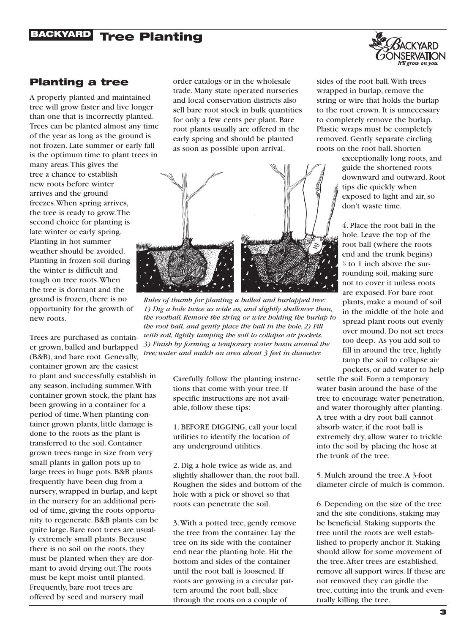## **BACKYARD Tree Planting**



### **Planting a tree**

A properly planted and maintained tree will grow faster and live longer than one that is incorrectly planted. Trees can be planted almost any time of the year as long as the ground is not frozen. Late summer or early fall is the optimum time to plant trees in

many areas.This gives the tree a chance to establish new roots before winter arrives and the ground freezes.When spring arrives, the tree is ready to grow.The second choice for planting is late winter or early spring. Planting in hot summer weather should be avoided. Planting in frozen soil during the winter is difficult and tough on tree roots.When the tree is dormant and the ground is frozen, there is no opportunity for the growth of new roots.

Trees are purchased as container grown, balled and burlapped (B&B), and bare root. Generally, container grown are the easiest to plant and successfully establish in any season, including summer.With container grown stock, the plant has been growing in a container for a period of time.When planting container grown plants, little damage is done to the roots as the plant is transferred to the soil. Container grown trees range in size from very small plants in gallon pots up to large trees in huge pots. B&B plants frequently have been dug from a nursery, wrapped in burlap, and kept in the nursery for an additional period of time, giving the roots opportunity to regenerate. B&B plants can be quite large. Bare root trees are usually extremely small plants. Because there is no soil on the roots, they must be planted when they are dormant to avoid drying out.The roots must be kept moist until planted. Frequently, bare root trees are offered by seed and nursery mail

order catalogs or in the wholesale trade. Many state operated nurseries and local conservation districts also sell bare root stock in bulk quantities for only a few cents per plant. Bare root plants usually are offered in the early spring and should be planted as soon as possible upon arrival.



*Rules of thumb for planting a balled and burlapped tree: 1) Dig a hole twice as wide as, and slightly shallower than, the rootball. Remove the string or wire holding the burlap to the root ball, and gently place the ball in the hole. 2) Fill with soil, lightly tamping the soil to collapse air pockets. 3) Finish by forming a temporary water basin around the tree; water and mulch an area about 3 feet in diameter.*

Carefully follow the planting instructions that come with your tree. If specific instructions are not available, follow these tips:

1. BEFORE DIGGING, call your local utilities to identify the location of any underground utilities.

2. Dig a hole twice as wide as, and slightly shallower than, the root ball. Roughen the sides and bottom of the hole with a pick or shovel so that roots can penetrate the soil.

3.With a potted tree, gently remove the tree from the container. Lay the tree on its side with the container end near the planting hole. Hit the bottom and sides of the container until the root ball is loosened. If roots are growing in a circular pattern around the root ball, slice through the roots on a couple of

sides of the root ball.With trees wrapped in burlap, remove the string or wire that holds the burlap to the root crown. It is unnecessary to completely remove the burlap. Plastic wraps must be completely removed. Gently separate circling roots on the root ball. Shorten

> exceptionally long roots, and guide the shortened roots downward and outward. Root tips die quickly when exposed to light and air, so don't waste time.

4. Place the root ball in the hole. Leave the top of the root ball (where the roots end and the trunk begins) 1 2⁄ to 1 inch above the surrounding soil, making sure not to cover it unless roots are exposed. For bare root plants, make a mound of soil in the middle of the hole and spread plant roots out evenly over mound. Do not set trees too deep. As you add soil to fill in around the tree, lightly tamp the soil to collapse air pockets, or add water to help

settle the soil. Form a temporary water basin around the base of the tree to encourage water penetration, and water thoroughly after planting. A tree with a dry root ball cannot absorb water; if the root ball is extremely dry, allow water to trickle into the soil by placing the hose at the trunk of the tree.

5. Mulch around the tree.A 3-foot diameter circle of mulch is common.

6. Depending on the size of the tree and the site conditions, staking may be beneficial. Staking supports the tree until the roots are well established to properly anchor it. Staking should allow for some movement of the tree.After trees are established, remove all support wires. If these are not removed they can girdle the tree, cutting into the trunk and eventually killing the tree.